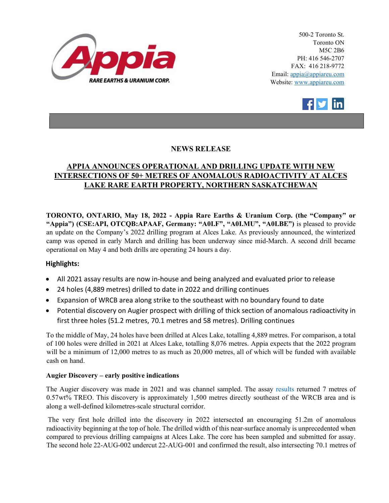

500-2 Toronto St. Toronto ON M5C 2B6 PH: 416 546-2707 FAX: 416 218-9772 Email: appia@appiareu.com Website: www.appiareu.com



# **NEWS RELEASE**

# **APPIA ANNOUNCES OPERATIONAL AND DRILLING UPDATE WITH NEW INTERSECTIONS OF 50+ METRES OF ANOMALOUS RADIOACTIVITY AT ALCES LAKE RARE EARTH PROPERTY, NORTHERN SASKATCHEWAN**

**TORONTO, ONTARIO, May 18, 2022 - Appia Rare Earths & Uranium Corp. (the "Company" or "Appia") (CSE:API, OTCQB:APAAF, Germany: "A0I.F", "A0I.MU", "A0I.BE")** is pleased to provide an update on the Company's 2022 drilling program at Alces Lake. As previously announced, the winterized camp was opened in early March and drilling has been underway since mid-March. A second drill became operational on May 4 and both drills are operating 24 hours a day.

## **Highlights:**

- All 2021 assay results are now in-house and being analyzed and evaluated prior to release
- 24 holes (4,889 metres) drilled to date in 2022 and drilling continues
- Expansion of WRCB area along strike to the southeast with no boundary found to date
- Potential discovery on Augier prospect with drilling of thick section of anomalous radioactivity in first three holes (51.2 metres, 70.1 metres and 58 metres). Drilling continues

To the middle of May, 24 holes have been drilled at Alces Lake, totalling 4,889 metres. For comparison, a total of 100 holes were drilled in 2021 at Alces Lake, totalling 8,076 metres. Appia expects that the 2022 program will be a minimum of 12,000 metres to as much as 20,000 metres, all of which will be funded with available cash on hand.

## **Augier Discovery – early positive indications**

The Augier discovery was made in 2021 and was channel sampled. The assay [results](https://www.appiareu.com/_resources/news/nr-20211206.pdf) returned 7 metres of 0.57wt% TREO. This discovery is approximately 1,500 metres directly southeast of the WRCB area and is along a well-defined kilometres-scale structural corridor.

The very first hole drilled into the discovery in 2022 intersected an encouraging 51.2m of anomalous radioactivity beginning at the top of hole. The drilled width of this near-surface anomaly is unprecedented when compared to previous drilling campaigns at Alces Lake. The core has been sampled and submitted for assay. The second hole 22-AUG-002 undercut 22-AUG-001 and confirmed the result, also intersecting 70.1 metres of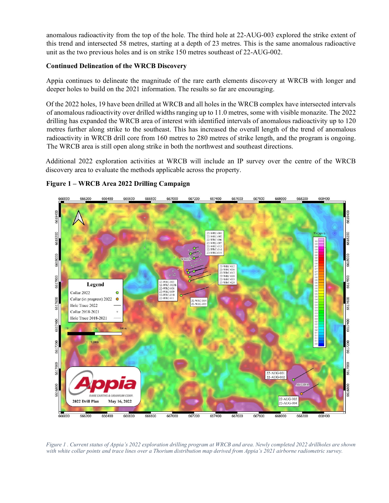anomalous radioactivity from the top of the hole. The third hole at 22-AUG-003 explored the strike extent of this trend and intersected 58 metres, starting at a depth of 23 metres. This is the same anomalous radioactive unit as the two previous holes and is on strike 150 metres southeast of 22-AUG-002.

#### **Continued Delineation of the WRCB Discovery**

Appia continues to delineate the magnitude of the rare earth elements discovery at WRCB with longer and deeper holes to build on the 2021 information. The results so far are encouraging.

Of the 2022 holes, 19 have been drilled at WRCB and all holes in the WRCB complex have intersected intervals of anomalous radioactivity over drilled widths ranging up to 11.0 metres, some with visible monazite. The 2022 drilling has expanded the WRCB area of interest with identified intervals of anomalous radioactivity up to 120 metres further along strike to the southeast. This has increased the overall length of the trend of anomalous radioactivity in WRCB drill core from 160 metres to 280 metres of strike length, and the program is ongoing. The WRCB area is still open along strike in both the northwest and southeast directions.

Additional 2022 exploration activities at WRCB will include an IP survey over the centre of the WRCB discovery area to evaluate the methods applicable across the property.



# **Figure 1 – WRCB Area 2022 Drilling Campaign**

*Figure 1 . Current status of Appia's 2022 exploration drilling program at WRCB and area. Newly completed 2022 drillholes are shown with white collar points and trace lines over a Thorium distribution map derived from Appia's 2021 airborne radiometric survey.*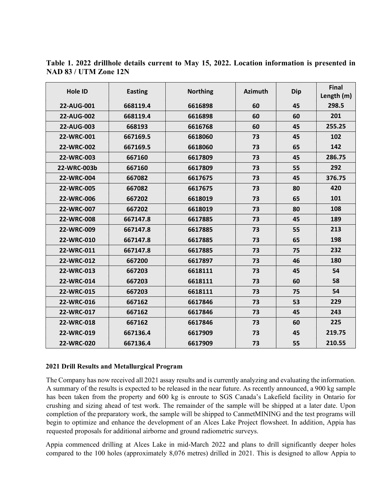| Hole ID     | <b>Easting</b> | <b>Northing</b> | <b>Azimuth</b> | <b>Dip</b> | Final<br>Length (m) |
|-------------|----------------|-----------------|----------------|------------|---------------------|
| 22-AUG-001  | 668119.4       | 6616898         | 60             | 45         | 298.5               |
| 22-AUG-002  | 668119.4       | 6616898         | 60             | 60         | 201                 |
| 22-AUG-003  | 668193         | 6616768         | 60             | 45         | 255.25              |
| 22-WRC-001  | 667169.5       | 6618060         | 73             | 45         | 102                 |
| 22-WRC-002  | 667169.5       | 6618060         | 73             | 65         | 142                 |
| 22-WRC-003  | 667160         | 6617809         | 73             | 45         | 286.75              |
| 22-WRC-003b | 667160         | 6617809         | 73             | 55         | 292                 |
| 22-WRC-004  | 667082         | 6617675         | 73             | 45         | 376.75              |
| 22-WRC-005  | 667082         | 6617675         | 73             | 80         | 420                 |
| 22-WRC-006  | 667202         | 6618019         | 73             | 65         | 101                 |
| 22-WRC-007  | 667202         | 6618019         | 73             | 80         | 108                 |
| 22-WRC-008  | 667147.8       | 6617885         | 73             | 45         | 189                 |
| 22-WRC-009  | 667147.8       | 6617885         | 73             | 55         | 213                 |
| 22-WRC-010  | 667147.8       | 6617885         | 73             | 65         | 198                 |
| 22-WRC-011  | 667147.8       | 6617885         | 73             | 75         | 232                 |
| 22-WRC-012  | 667200         | 6617897         | 73             | 46         | 180                 |
| 22-WRC-013  | 667203         | 6618111         | 73             | 45         | 54                  |
| 22-WRC-014  | 667203         | 6618111         | 73             | 60         | 58                  |
| 22-WRC-015  | 667203         | 6618111         | 73             | 75         | 54                  |
| 22-WRC-016  | 667162         | 6617846         | 73             | 53         | 229                 |
| 22-WRC-017  | 667162         | 6617846         | 73             | 45         | 243                 |
| 22-WRC-018  | 667162         | 6617846         | 73             | 60         | 225                 |
| 22-WRC-019  | 667136.4       | 6617909         | 73             | 45         | 219.75              |
| 22-WRC-020  | 667136.4       | 6617909         | 73             | 55         | 210.55              |

**Table 1. 2022 drillhole details current to May 15, 2022. Location information is presented in NAD 83 / UTM Zone 12N** 

#### **2021 Drill Results and Metallurgical Program**

The Company has now received all 2021 assay results and is currently analyzing and evaluating the information. A summary of the results is expected to be released in the near future. As recently announced, a 900 kg sample has been taken from the property and 600 kg is enroute to SGS Canada's Lakefield facility in Ontario for crushing and sizing ahead of test work. The remainder of the sample will be shipped at a later date. Upon completion of the preparatory work, the sample will be shipped to CanmetMINING and the test programs will begin to optimize and enhance the development of an Alces Lake Project flowsheet. In addition, Appia has requested proposals for additional airborne and ground radiometric surveys.

Appia commenced drilling at Alces Lake in mid-March 2022 and plans to drill significantly deeper holes compared to the 100 holes (approximately 8,076 metres) drilled in 2021. This is designed to allow Appia to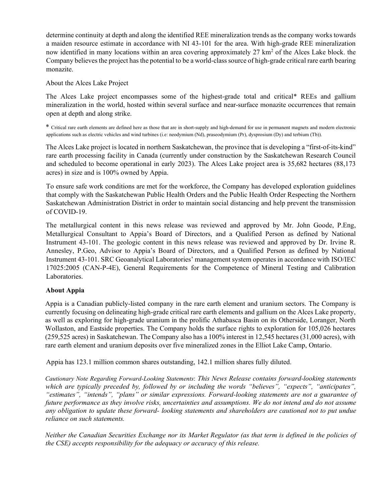determine continuity at depth and along the identified REE mineralization trends as the company works towards a maiden resource estimate in accordance with NI 43-101 for the area. With high-grade REE mineralization now identified in many locations within an area covering approximately 27 km<sup>2</sup> of the Alces Lake block. the Company believes the project has the potential to be a world-class source of high-grade critical rare earth bearing monazite.

About the Alces Lake Project

The Alces Lake project encompasses some of the highest-grade total and critical\* REEs and gallium mineralization in the world, hosted within several surface and near-surface monazite occurrences that remain open at depth and along strike.

\* Critical rare earth elements are defined here as those that are in short-supply and high-demand for use in permanent magnets and modern electronic applications such as electric vehicles and wind turbines (i.e: neodymium (Nd), praseodymium (Pr), dysprosium (Dy) and terbium (Tb)).

The Alces Lake project is located in northern Saskatchewan, the province that is developing a "first-of-its-kind" rare earth processing facility in Canada (currently under construction by the Saskatchewan Research Council and scheduled to become operational in early 2023). The Alces Lake project area is 35,682 hectares (88,173 acres) in size and is 100% owned by Appia.

To ensure safe work conditions are met for the workforce, the Company has developed exploration guidelines that comply with the Saskatchewan Public Health Orders and the Public Health Order Respecting the Northern Saskatchewan Administration District in order to maintain social distancing and help prevent the transmission of COVID-19.

The metallurgical content in this news release was reviewed and approved by Mr. John Goode, P.Eng, Metallurgical Consultant to Appia's Board of Directors, and a Qualified Person as defined by National Instrument 43-101. The geologic content in this news release was reviewed and approved by Dr. Irvine R. Annesley, P.Geo, Advisor to Appia's Board of Directors, and a Qualified Person as defined by National Instrument 43-101. SRC Geoanalytical Laboratories' management system operates in accordance with ISO/IEC 17025:2005 (CAN-P-4E), General Requirements for the Competence of Mineral Testing and Calibration Laboratories.

## **About Appia**

Appia is a Canadian publicly-listed company in the rare earth element and uranium sectors. The Company is currently focusing on delineating high-grade critical rare earth elements and gallium on the Alces Lake property, as well as exploring for high-grade uranium in the prolific Athabasca Basin on its Otherside, Loranger, North Wollaston, and Eastside properties. The Company holds the surface rights to exploration for 105,026 hectares (259,525 acres) in Saskatchewan. The Company also has a 100% interest in 12,545 hectares (31,000 acres), with rare earth element and uranium deposits over five mineralized zones in the Elliot Lake Camp, Ontario.

Appia has 123.1 million common shares outstanding, 142.1 million shares fully diluted.

*Cautionary Note Regarding Forward-Looking Statements*: *This News Release contains forward-looking statements which are typically preceded by, followed by or including the words "believes", "expects", "anticipates", "estimates", "intends", "plans" or similar expressions. Forward-looking statements are not a guarantee of future performance as they involve risks, uncertainties and assumptions. We do not intend and do not assume any obligation to update these forward- looking statements and shareholders are cautioned not to put undue reliance on such statements.* 

*Neither the Canadian Securities Exchange nor its Market Regulator (as that term is defined in the policies of the CSE) accepts responsibility for the adequacy or accuracy of this release.*